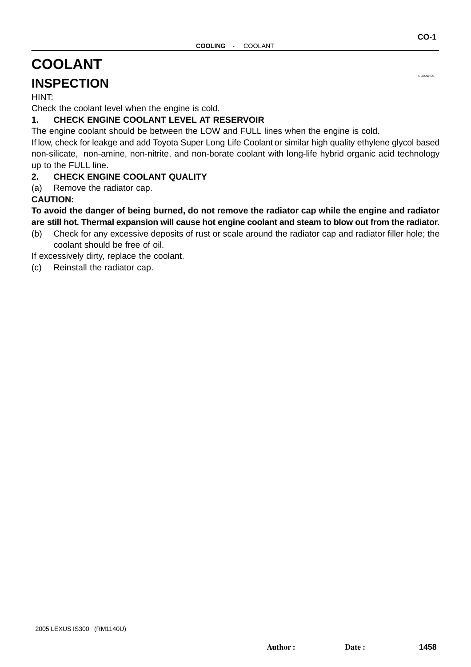# <span id="page-0-0"></span>**COOLANT**

## **INSPECTION**

HINT:

Check the coolant level when the engine is cold.

#### **1. CHECK ENGINE COOLANT LEVEL AT RESERVOIR**

The engine coolant should be between the LOW and FULL lines when the engine is cold.

If low, check for leakge and add Toyota Super Long Life Coolant or similar high quality ethylene glycol based non-silicate, non-amine, non-nitrite, and non-borate coolant with long-life hybrid organic acid technology up to the FULL line.

#### **2. CHECK ENGINE COOLANT QUALITY**

(a) Remove the radiator cap.

#### **CAUTION:**

#### **To avoid the danger of being burned, do not remove the radiator cap while the engine and radiator are still hot. Thermal expansion will cause hot engine coolant and steam to blow out from the radiator.**

(b) Check for any excessive deposits of rust or scale around the radiator cap and radiator filler hole; the coolant should be free of oil.

If excessively dirty, replace the coolant.

(c) Reinstall the radiator cap.

CO09W-05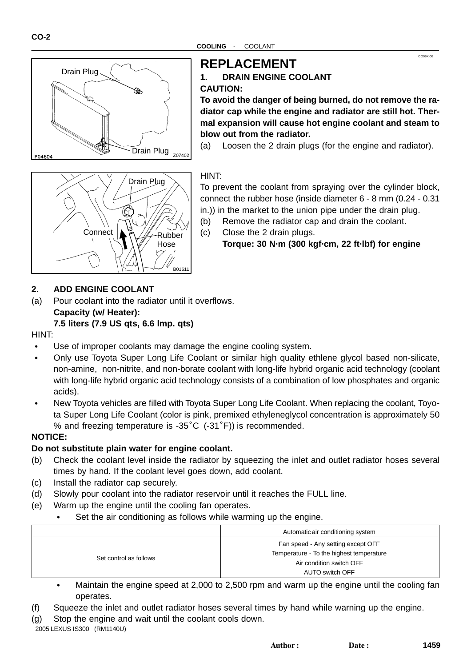

## **REPLACEMENT**

#### **1. DRAIN ENGINE COOLANT CAUTION:**

**To avoid the danger of being burned, do not remove the radiator cap while the engine and radiator are still hot. Thermal expansion will cause hot engine coolant and steam to blow out from the radiator.**

CO09X-08

(a) Loosen the 2 drain plugs (for the engine and radiator).

#### HINT:

To prevent the coolant from spraying over the cylinder block, connect the rubber hose (inside diameter 6 - 8 mm (0.24 - 0.31 in.)) in the market to the union pipe under the drain plug.

- (b) Remove the radiator cap and drain the coolant.
- (c) Close the 2 drain plugs.

**Torque: 30 N·m (300 kgf·cm, 22 ft·lbf) for engine**

#### **2. ADD ENGINE COOLANT**

**Connect** 

(a) Pour coolant into the radiator until it overflows. **Capacity (w/ Heater):** 

Drain Plug

#### **7.5 liters (7.9 US qts, 6.6 lmp. qts)**

#### HINT:

ľ Use of improper coolants may damage the engine cooling system.

B01611

Rubber Hose

- Only use Toyota Super Long Life Coolant or similar high quality ethlene glycol based non-silicate, non-amine, non-nitrite, and non-borate coolant with long-life hybrid organic acid technology (coolant with long-life hybrid organic acid technology consists of a combination of low phosphates and organic acids).
- New Toyota vehicles are filled with Toyota Super Long Life Coolant. When replacing the coolant, Toyota Super Long Life Coolant (color is pink, premixed ethyleneglycol concentration is approximately 50 New Toyota vehicles are filled with Toyota Super Long Life Coolant<br>ta Super Long Life Coolant (color is pink, premixed ethyleneglycc<br>% and freezing temperature is -35˚C(-31˚F)) is recommended.

#### **NOTICE:**

#### **Do not substitute plain water for engine coolant.**

- (b) Check the coolant level inside the radiator by squeezing the inlet and outlet radiator hoses several times by hand. If the coolant level goes down, add coolant.
- (c) Install the radiator cap securely.
- (d) Slowly pour coolant into the radiator reservoir until it reaches the FULL line.
- (e) Warm up the engine until the cooling fan operates.
	- Set the air conditioning as follows while warming up the engine.

|                        | Automatic air conditioning system                                                                                                  |
|------------------------|------------------------------------------------------------------------------------------------------------------------------------|
| Set control as follows | Fan speed - Any setting except OFF                                                                                                 |
|                        | Temperature - To the highest temperature                                                                                           |
|                        | Air condition switch OFF                                                                                                           |
|                        | AUTO switch OFF                                                                                                                    |
| .                      | $\mathbf{A} \cdot \mathbf{A} = \mathbf{A} \cdot \mathbf{A}$<br>$\sim$ $\sim$ $\sim$ $\sim$ $\sim$ $\sim$ $\sim$ $\sim$<br>. .<br>. |

- Maintain the engine speed at 2,000 to 2,500 rpm and warm up the engine until the cooling fan operates.
- (f) Squeeze the inlet and outlet radiator hoses several times by hand while warning up the engine.
- (g) Stop the engine and wait until the coolant cools down.

2005 LEXUS IS300 (RM1140U)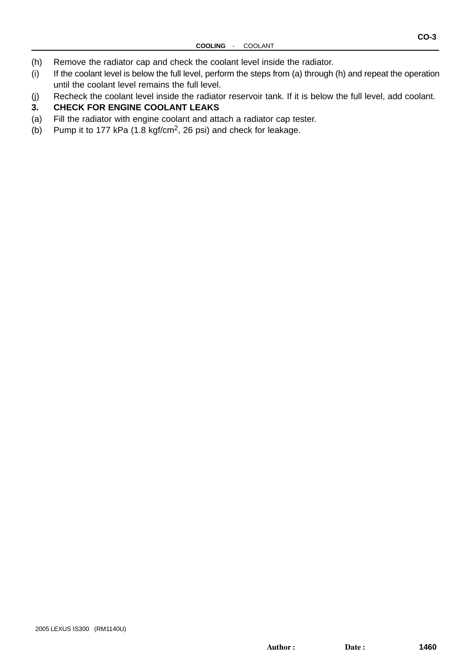- (h) Remove the radiator cap and check the coolant level inside the radiator.
- (i) If the coolant level is below the full level, perform the steps from (a) through (h) and repeat the operation until the coolant level remains the full level.
- (j) Recheck the coolant level inside the radiator reservoir tank. If it is below the full level, add coolant.

#### **3. CHECK FOR ENGINE COOLANT LEAKS**

- (a) Fill the radiator with engine coolant and attach a radiator cap tester.
- (b) Pump it to 177 kPa (1.8 kgf/cm2, 26 psi) and check for leakage.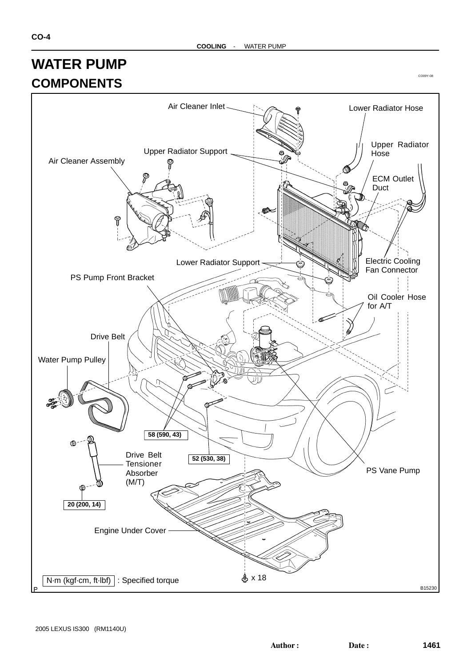

CO09Y-08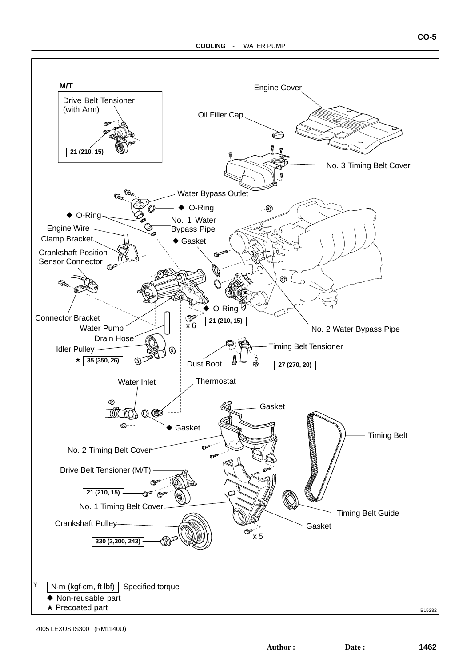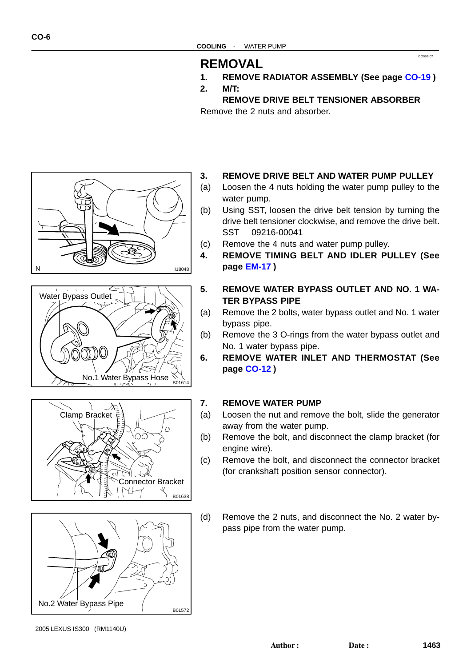## **REMOVAL**

**1. REMOVE RADIATOR ASSEMBLY (See page [CO-19](#page-0-0) )**

CO09Z-07

**2. M/T:**

**REMOVE DRIVE BELT TENSIONER ABSORBER** Remove the 2 nuts and absorber.









- **3. REMOVE DRIVE BELT AND WATER PUMP PULLEY**
- (a) Loosen the 4 nuts holding the water pump pulley to the water pump.
- (b) Using SST, loosen the drive belt tension by turning the drive belt tensioner clockwise, and remove the drive belt. SST 09216-00041
- (c) Remove the 4 nuts and water pump pulley.
- **4. REMOVE TIMING BELT AND IDLER PULLEY (See page [EM-17](#page-0-0) )**
- **5. REMOVE WATER BYPASS OUTLET AND NO. 1 WA-TER BYPASS PIPE**
- (a) Remove the 2 bolts, water bypass outlet and No. 1 water bypass pipe.
- (b) Remove the 3 O-rings from the water bypass outlet and No. 1 water bypass pipe.
- **6. REMOVE WATER INLET AND THERMOSTAT (See page [CO-12](#page-0-0) )**

#### **7. REMOVE WATER PUMP**

- (a) Loosen the nut and remove the bolt, slide the generator away from the water pump.
- (b) Remove the bolt, and disconnect the clamp bracket (for engine wire).
- (c) Remove the bolt, and disconnect the connector bracket (for crankshaft position sensor connector).
- (d) Remove the 2 nuts, and disconnect the No. 2 water bypass pipe from the water pump.

**CO-6**

<sup>2005</sup> LEXUS IS300 (RM1140U)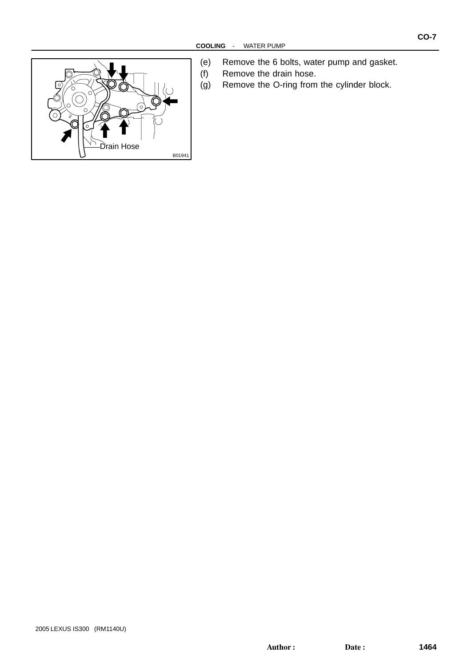

- (e) Remove the 6 bolts, water pump and gasket.
- (f) Remove the drain hose.
- (g) Remove the O-ring from the cylinder block.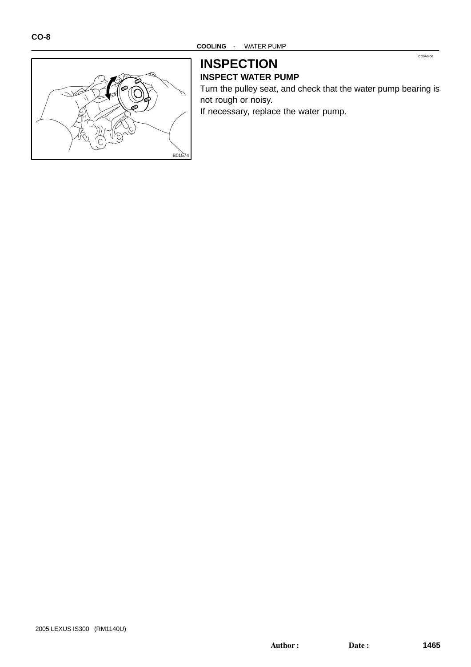

#### **INSPECTION INSPECT WATER PUMP**

Turn the pulley seat, and check that the water pump bearing is not rough or noisy. If necessary, replace the water pump.

CO0A0-06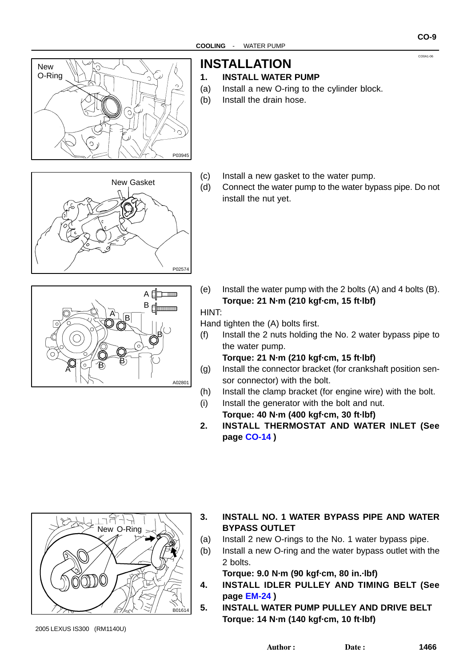

**INSTALLATION**

#### **1. INSTALL WATER PUMP**

- (a) Install a new O-ring to the cylinder block.
- (b) Install the drain hose.
- P02574 New Gasket
- (c) Install a new gasket to the water pump.
- (d) Connect the water pump to the water bypass pipe. Do not install the nut yet.

- $A$ B d  $\bigoplus_{n=1}^{A} \overline{B}$ B  $\mathbf{B}$   $\mathbf{B}$ A A02801
- (e) Install the water pump with the 2 bolts (A) and 4 bolts (B). **Torque: 21 N·m (210 kgf·cm, 15 ft·lbf)**

#### HINT:

Hand tighten the (A) bolts first.

(f) Install the 2 nuts holding the No. 2 water bypass pipe to the water pump.

**Torque: 21 N·m (210 kgf·cm, 15 ft·lbf)**

- (g) Install the connector bracket (for crankshaft position sensor connector) with the bolt.
- (h) Install the clamp bracket (for engine wire) with the bolt.
- (i) Install the generator with the bolt and nut. **Torque: 40 N·m (400 kgf·cm, 30 ft·lbf)**
- **2. INSTALL THERMOSTAT AND WATER INLET (See page [CO-14](#page-0-0) )**



**3. INSTALL NO. 1 WATER BYPASS PIPE AND WATER BYPASS OUTLET**

- (a) Install 2 new O-rings to the No. 1 water bypass pipe.
- (b) Install a new O-ring and the water bypass outlet with the 2 bolts.

**Torque: 9.0 N·m (90 kgf·cm, 80 in.·lbf)**

- **4. INSTALL IDLER PULLEY AND TIMING BELT (See page [EM-24](#page-0-0) )**
- **5. INSTALL WATER PUMP PULLEY AND DRIVE BELT Torque: 14 N·m (140 kgf·cm, 10 ft·lbf)**

**CO-9**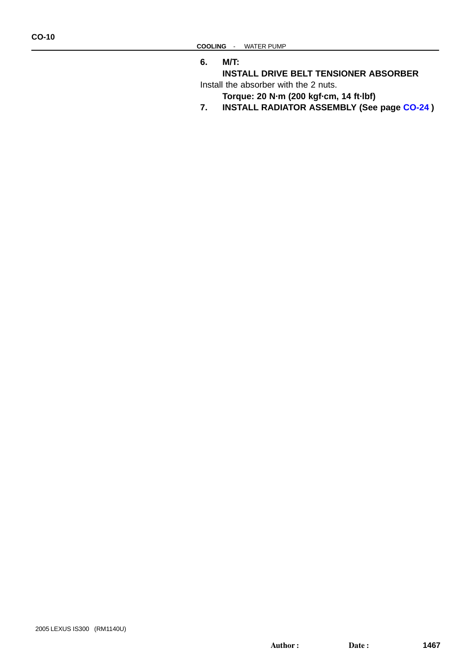**6. M/T:**

**INSTALL DRIVE BELT TENSIONER ABSORBER** Install the absorber with the 2 nuts.

- **Torque: 20 N·m (200 kgf·cm, 14 ft·lbf)**
- **7. INSTALL RADIATOR ASSEMBLY (See page [CO-24](#page-0-0) )**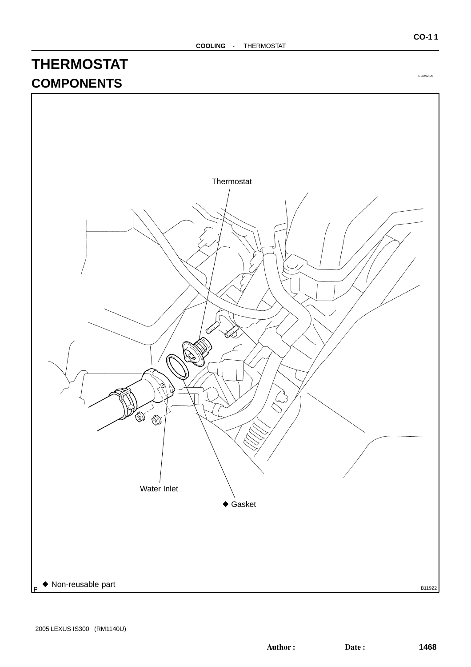# **THERMOSTAT COMPONENTS**



CO0A2-05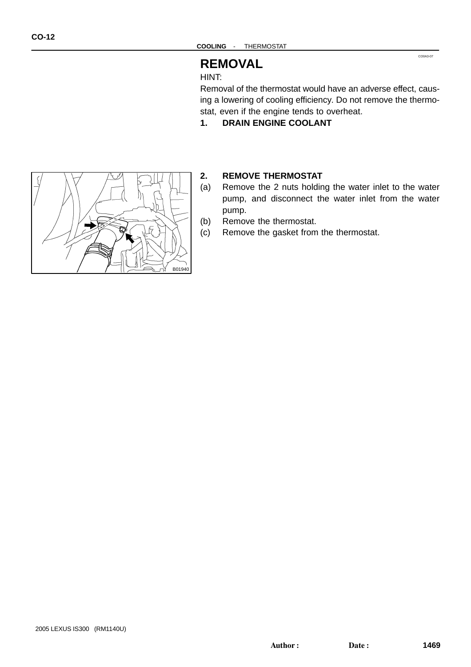## **REMOVAL**

HINT:

Removal of the thermostat would have an adverse effect, causing a lowering of cooling efficiency. Do not remove the thermostat, even if the engine tends to overheat.

CO0A3-07

**1. DRAIN ENGINE COOLANT**



#### **2. REMOVE THERMOSTAT**

- (a) Remove the 2 nuts holding the water inlet to the water pump, and disconnect the water inlet from the water pump.
- (b) Remove the thermostat.
- (c) Remove the gasket from the thermostat.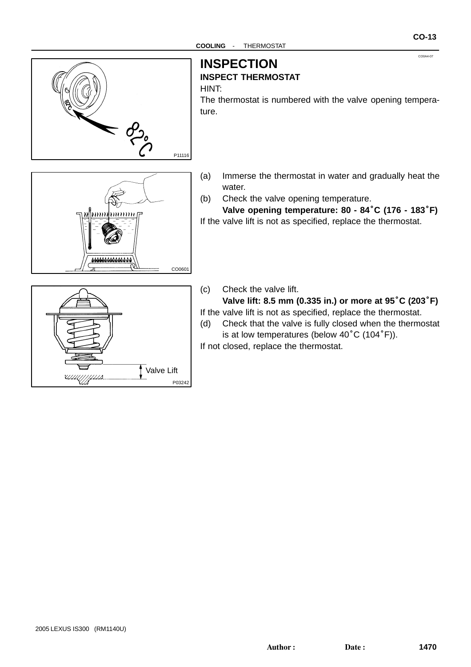

## **INSPECTION**

#### **INSPECT THERMOSTAT**

HINT:

The thermostat is numbered with the valve opening temperature.

- 666666666666 CO0601
- (a) Immerse the thermostat in water and gradually heat the water.
- (b) Check the valve opening temperature.

**Valve opening temperature: 80 - 84**°**C (176 - 183**°**F)** If the valve lift is not as specified, replace the thermostat.

- Valve Lift *מנוון ון גווע* P03242
- (c) Check the valve lift.

**Valve lift: 8.5 mm (0.335 in.) or more at 95**°**C (203**°**F)** If the valve lift is not as specified, replace the thermostat.

(d) Check that the valve is fully closed when the thermostat is at low temperatures (below 40°C (104°F)).

If not closed, replace the thermostat.

CO0A4-07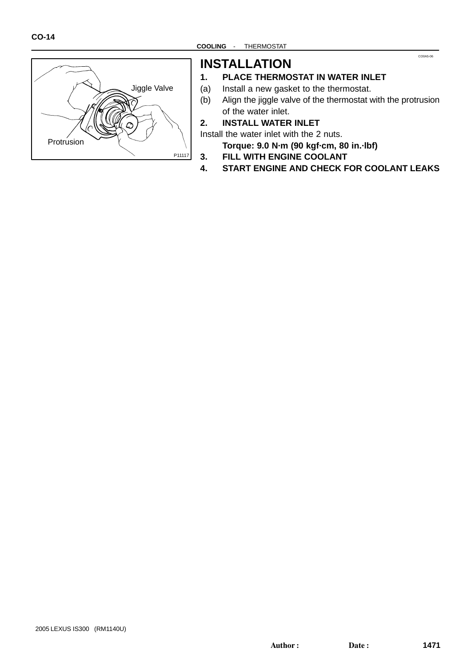

## **INSTALLATION**

#### **1. PLACE THERMOSTAT IN WATER INLET**

- (a) Install a new gasket to the thermostat.
- (b) Align the jiggle valve of the thermostat with the protrusion of the water inlet.

CO0A5-06

#### **2. INSTALL WATER INLET**

Install the water inlet with the 2 nuts.

**Torque: 9.0 N·m (90 kgf·cm, 80 in.·lbf)**

- **3. FILL WITH ENGINE COOLANT**
- **4. START ENGINE AND CHECK FOR COOLANT LEAKS**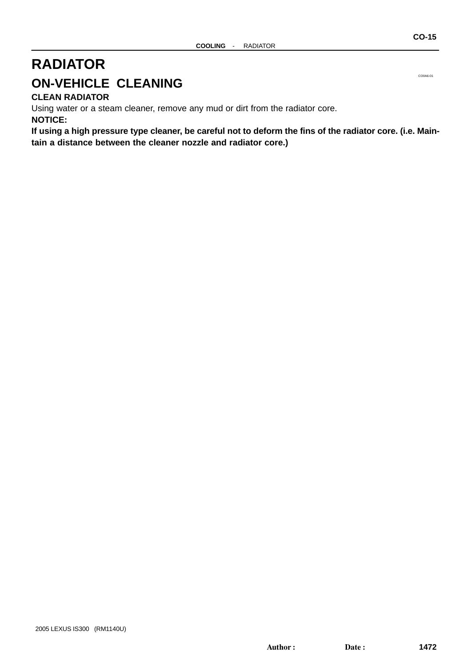# **RADIATOR ON-VEHICLE CLEANING**

**CLEAN RADIATOR**

Using water or a steam cleaner, remove any mud or dirt from the radiator core. **NOTICE:**

**If using a high pressure type cleaner, be careful not to deform the fins of the radiator core. (i.e. Maintain a distance between the cleaner nozzle and radiator core.)**

CO0A6-01

**CO-15**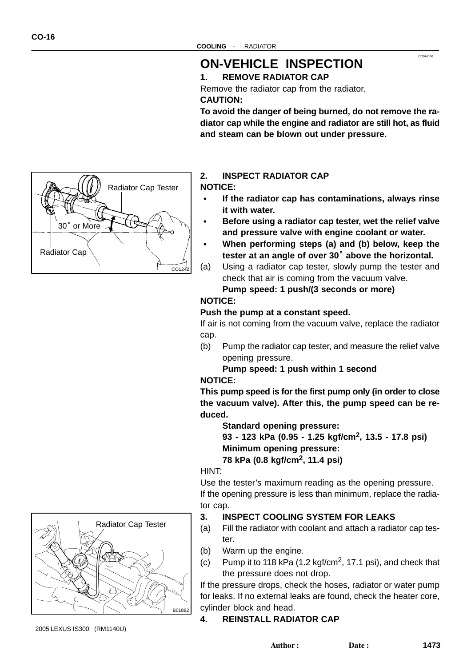Radiator Cap

<sup>30</sup>° or More

## **ON-VEHICLE INSPECTION**

#### **1. REMOVE RADIATOR CAP**

Remove the radiator cap from the radiator.

#### **CAUTION:**

**To avoid the danger of being burned, do not remove the radiator cap while the engine and radiator are still hot, as fluid and steam can be blown out under pressure.**

CO0A7-06



**NOTICE:**

- **If the radiator cap has contaminations, always rinse it with water.**
- **Before using a radiator cap tester, wet the relief valve and pressure valve with engine coolant or water.**
- **When performing steps (a) and (b) below, keep the** and pressure valve with engine coolant or water.<br>When performing steps (a) and (b) below, keep th<br>tester at an angle of over 30˚ above the horizontal.
- (a) Using a radiator cap tester, slowly pump the tester and check that air is coming from the vacuum valve.

**Pump speed: 1 push/(3 seconds or more)**

#### **NOTICE:**

CO124

Radiator Cap Tester

#### **Push the pump at a constant speed.**

If air is not coming from the vacuum valve, replace the radiator cap.

(b) Pump the radiator cap tester, and measure the relief valve opening pressure.

#### **Pump speed: 1 push within 1 second NOTICE:**

**This pump speed is for the first pump only (in order to close the vacuum valve). After this, the pump speed can be reduced.**

**Standard opening pressure:**

**93 - 123 kPa (0.95 - 1.25 kgf/cm2, 13.5 - 17.8 psi) Minimum opening pressure: 78 kPa (0.8 kgf/cm2, 11.4 psi)**

HINT:

Use the tester's maximum reading as the opening pressure. If the opening pressure is less than minimum, replace the radiator cap.

#### **3. INSPECT COOLING SYSTEM FOR LEAKS**

- (a) Fill the radiator with coolant and attach a radiator cap tester.
- (b) Warm up the engine.
- (c) Pump it to 118 kPa  $(1.2 \text{ kgf/cm}^2, 17.1 \text{ psi})$ , and check that the pressure does not drop.

If the pressure drops, check the hoses, radiator or water pump for leaks. If no external leaks are found, check the heater core, cylinder block and head.

#### **4. REINSTALL RADIATOR CAP**



2005 LEXUS IS300 (RM1140U)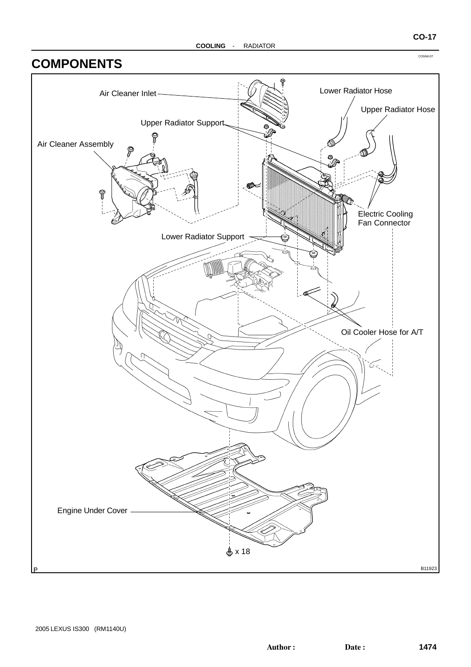## **COMPONENTS**



CO0A8-07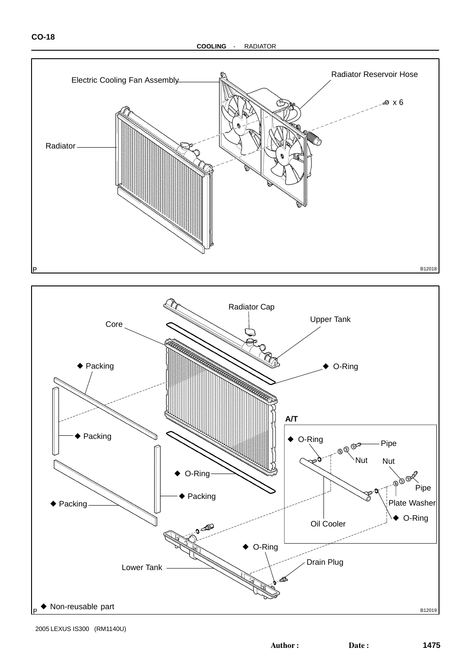



2005 LEXUS IS300 (RM1140U)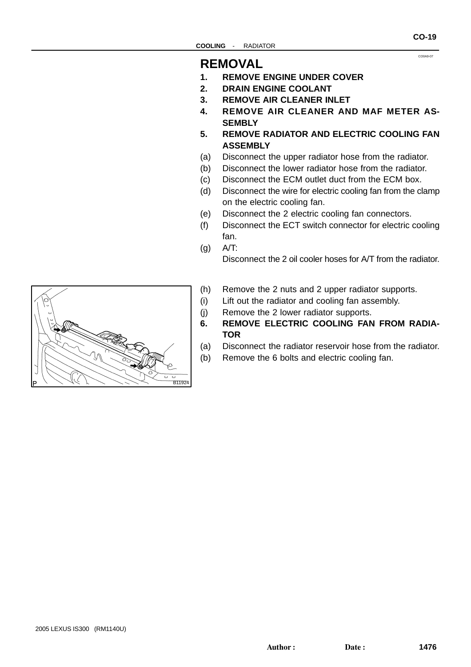## **REMOVAL**

- **1. REMOVE ENGINE UNDER COVER**
- **2. DRAIN ENGINE COOLANT**
- **3. REMOVE AIR CLEANER INLET**
- **4. REMOVE AIR CLEANER AND MAF METER AS-SEMBLY**
- **5. REMOVE RADIATOR AND ELECTRIC COOLING FAN ASSEMBLY**
- (a) Disconnect the upper radiator hose from the radiator.
- (b) Disconnect the lower radiator hose from the radiator.
- (c) Disconnect the ECM outlet duct from the ECM box.
- (d) Disconnect the wire for electric cooling fan from the clamp on the electric cooling fan.
- (e) Disconnect the 2 electric cooling fan connectors.
- (f) Disconnect the ECT switch connector for electric cooling fan.
- $(a)$  A/T:

Disconnect the 2 oil cooler hoses for A/T from the radiator.

- (h) Remove the 2 nuts and 2 upper radiator supports.
- (i) Lift out the radiator and cooling fan assembly.
- (j) Remove the 2 lower radiator supports.
- **6. REMOVE ELECTRIC COOLING FAN FROM RADIA-TOR**
- (a) Disconnect the radiator reservoir hose from the radiator.
- (b) Remove the 6 bolts and electric cooling fan.



**CO-19**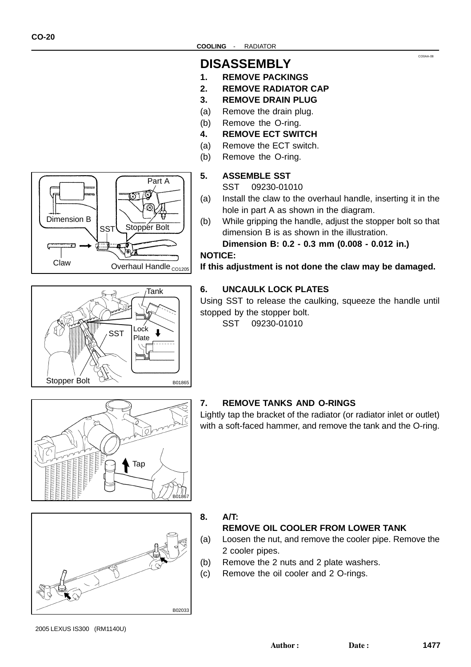## **DISASSEMBLY**

- **1. REMOVE PACKINGS**
- **2. REMOVE RADIATOR CAP**
- **3. REMOVE DRAIN PLUG**
- (a) Remove the drain plug.
- (b) Remove the O-ring.
- **4. REMOVE ECT SWITCH**
- (a) Remove the ECT switch.
- (b) Remove the O-ring.

#### **5. ASSEMBLE SST**

- SST 09230-01010
- (a) Install the claw to the overhaul handle, inserting it in the hole in part A as shown in the diagram.
- (b) While gripping the handle, adjust the stopper bolt so that dimension B is as shown in the illustration.

**Dimension B: 0.2 - 0.3 mm (0.008 - 0.012 in.)**

#### **NOTICE:**

**If this adjustment is not done the claw may be damaged.**

#### **6. UNCAULK LOCK PLATES**

Using SST to release the caulking, squeeze the handle until stopped by the stopper bolt.

Lightly tap the bracket of the radiator (or radiator inlet or outlet) with a soft-faced hammer, and remove the tank and the O-ring.

SST 09230-01010

**7. REMOVE TANKS AND O-RINGS**

# B01867 Tap



#### **8. A/T:**

#### **REMOVE OIL COOLER FROM LOWER TANK**

- (a) Loosen the nut, and remove the cooler pipe. Remove the 2 cooler pipes.
- (b) Remove the 2 nuts and 2 plate washers.
- (c) Remove the oil cooler and 2 O-rings.

2005 LEXUS IS300 (RM1140U)

CO0AA-08

Part A ಡ నె মে Dimension B Stopper Bolt **SST** Claw Overhaul Handle <sub>co1205</sub>

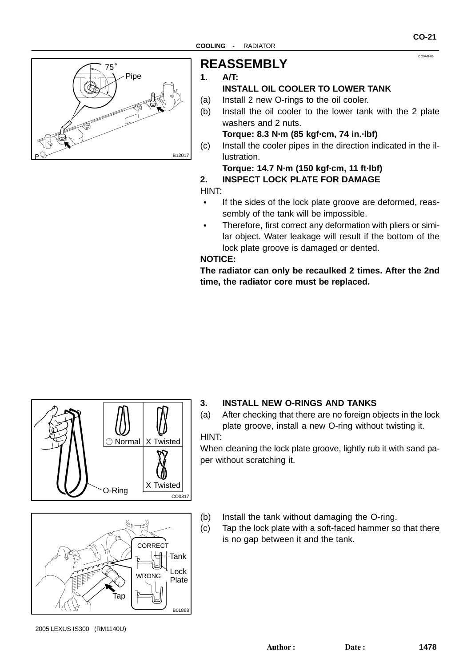

## **REASSEMBLY**

#### **1. A/T:**

## **INSTALL OIL COOLER TO LOWER TANK**

- (a) Install 2 new O-rings to the oil cooler.
- (b) Install the oil cooler to the lower tank with the 2 plate washers and 2 nuts.

**Torque: 8.3 N·m (85 kgf·cm, 74 in.·lbf)**

(c) Install the cooler pipes in the direction indicated in the illustration.

#### **Torque: 14.7 N·m (150 kgf·cm, 11 ft·lbf) 2. INSPECT LOCK PLATE FOR DAMAGE**

HINT:

- $\bullet$  If the sides of the lock plate groove are deformed, reassembly of the tank will be impossible.
- $\bullet$  Therefore, first correct any deformation with pliers or similar object. Water leakage will result if the bottom of the lock plate groove is damaged or dented.

#### **NOTICE:**

**The radiator can only be recaulked 2 times. After the 2nd time, the radiator core must be replaced.**



## B01868 CORRECT WRONG Tap Tank Plate Lock

#### **3. INSTALL NEW O-RINGS AND TANKS**

(a) After checking that there are no foreign objects in the lock plate groove, install a new O-ring without twisting it. HINT:

When cleaning the lock plate groove, lightly rub it with sand paper without scratching it.

- (b) Install the tank without damaging the O-ring.
- (c) Tap the lock plate with a soft-faced hammer so that there is no gap between it and the tank.

CO0AB-06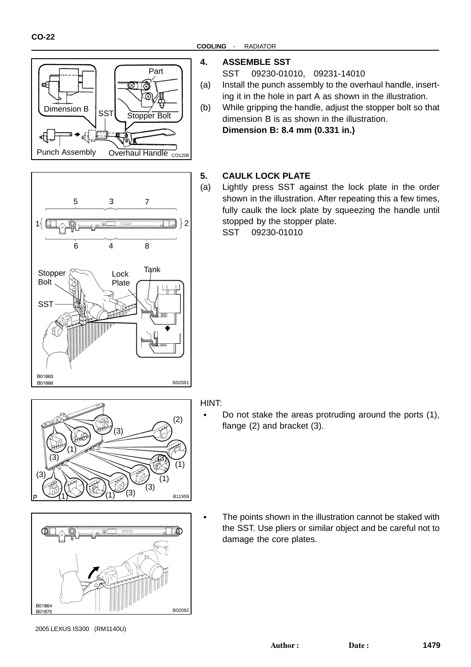B01863 B01863

**SST** 

Stopper Bolt

6

5



8

Lock Tank

7

#### **COOLING** - RADIATOR

#### **4. ASSEMBLE SST**

SST 09230-01010, 09231-14010

- (a) Install the punch assembly to the overhaul handle, inserting it in the hole in part A as shown in the illustration.
- (b) While gripping the handle, adjust the stopper bolt so that dimension B is as shown in the illustration. **Dimension B: 8.4 mm (0.331 in.)**

#### **5. CAULK LOCK PLATE**

(a) Lightly press SST against the lock plate in the order shown in the illustration. After repeating this a few times, fully caulk the lock plate by squeezing the handle until stopped by the stopper plate.

SST 09230-01010



B01866<br>B01866

4

Plate

3

 $1\left\{\Box\bigcirc\mathbb{Q}\longrightarrow\mathbb{R}^{12}\Box\right\}=\Box\Box$ 



## HINT:

 Do not stake the areas protruding around the ports (1), flange (2) and bracket (3).

 The points shown in the illustration cannot be staked with the SST. Use pliers or similar object and be careful not to damage the core plates.

<sup>2005</sup> LEXUS IS300 (RM1140U)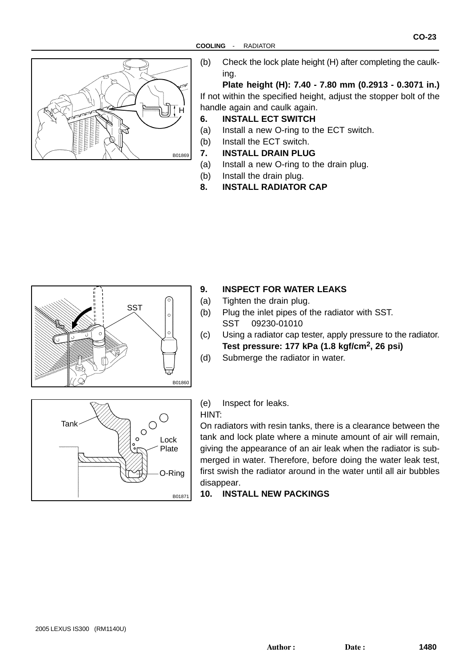

(b) Check the lock plate height (H) after completing the caulking.

**Plate height (H): 7.40 - 7.80 mm (0.2913 - 0.3071 in.)** If not within the specified height, adjust the stopper bolt of the handle again and caulk again.

#### **6. INSTALL ECT SWITCH**

- (a) Install a new O-ring to the ECT switch.
- (b) Install the ECT switch.
- **7. INSTALL DRAIN PLUG**
- (a) Install a new O-ring to the drain plug.
- (b) Install the drain plug.
- **8. INSTALL RADIATOR CAP**



#### **9. INSPECT FOR WATER LEAKS**

- (a) Tighten the drain plug.
- (b) Plug the inlet pipes of the radiator with SST. SST 09230-01010
- (c) Using a radiator cap tester, apply pressure to the radiator. **Test pressure: 177 kPa (1.8 kgf/cm2, 26 psi)**
- (d) Submerge the radiator in water.



(e) Inspect for leaks.

#### HINT:

On radiators with resin tanks, there is a clearance between the tank and lock plate where a minute amount of air will remain, giving the appearance of an air leak when the radiator is submerged in water. Therefore, before doing the water leak test, first swish the radiator around in the water until all air bubbles disappear.

#### **10. INSTALL NEW PACKINGS**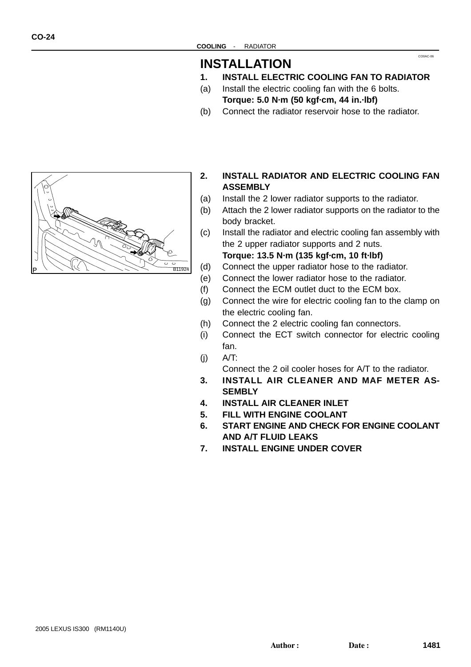## **INSTALLATION**

**1. INSTALL ELECTRIC COOLING FAN TO RADIATOR**

CO0AC-06

- (a) Install the electric cooling fan with the 6 bolts. **Torque: 5.0 N·m (50 kgf·cm, 44 in.·lbf)**
- (b) Connect the radiator reservoir hose to the radiator.



- **2. INSTALL RADIATOR AND ELECTRIC COOLING FAN ASSEMBLY**
- (a) Install the 2 lower radiator supports to the radiator.
- (b) Attach the 2 lower radiator supports on the radiator to the body bracket.
- (c) Install the radiator and electric cooling fan assembly with the 2 upper radiator supports and 2 nuts.

**Torque: 13.5 N·m (135 kgf·cm, 10 ft·lbf)**

- (d) Connect the upper radiator hose to the radiator.
- (e) Connect the lower radiator hose to the radiator.
- (f) Connect the ECM outlet duct to the ECM box.
- (g) Connect the wire for electric cooling fan to the clamp on the electric cooling fan.
- (h) Connect the 2 electric cooling fan connectors.
- (i) Connect the ECT switch connector for electric cooling fan.
- $(i)$   $A/T$ :

Connect the 2 oil cooler hoses for A/T to the radiator.

- **3. INSTALL AIR CLEANER AND MAF METER AS-SEMBLY**
- **4. INSTALL AIR CLEANER INLET**
- **5. FILL WITH ENGINE COOLANT**
- **6. START ENGINE AND CHECK FOR ENGINE COOLANT AND A/T FLUID LEAKS**
- **7. INSTALL ENGINE UNDER COVER**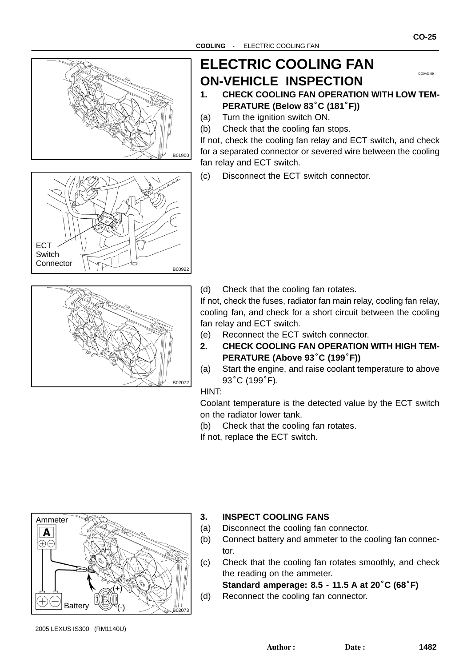

# **ELECTRIC COOLING FAN ON-VEHICLE INSPECTION**



CO0AD-09

**CO-25**

- (a) Turn the ignition switch ON.
- (b) Check that the cooling fan stops.

If not, check the cooling fan relay and ECT switch, and check for a separated connector or severed wire between the cooling fan relay and ECT switch.

(c) Disconnect the ECT switch connector.





(d) Check that the cooling fan rotates.

If not, check the fuses, radiator fan main relay, cooling fan relay, cooling fan, and check for a short circuit between the cooling fan relay and ECT switch.

- (e) Reconnect the ECT switch connector.
- **2. CHECK COOLING FAN OPERATION WITH HIGH TEM-PERATURE (Above 93**°**C (199**°**F))**
- (a) Start the engine, and raise coolant temperature to above **PERATURE (/**<br>Start the engin<br>93°C (199°F).

HINT:

Coolant temperature is the detected value by the ECT switch on the radiator lower tank.

(b) Check that the cooling fan rotates.

If not, replace the ECT switch.



#### **3. INSPECT COOLING FANS**

- (a) Disconnect the cooling fan connector.
- (b) Connect battery and ammeter to the cooling fan connector.
- (c) Check that the cooling fan rotates smoothly, and check the reading on the ammeter.

**Standard amperage: 8.5 - 11.5 A at 20**°**C (68**°**F)** (d) Reconnect the cooling fan connector.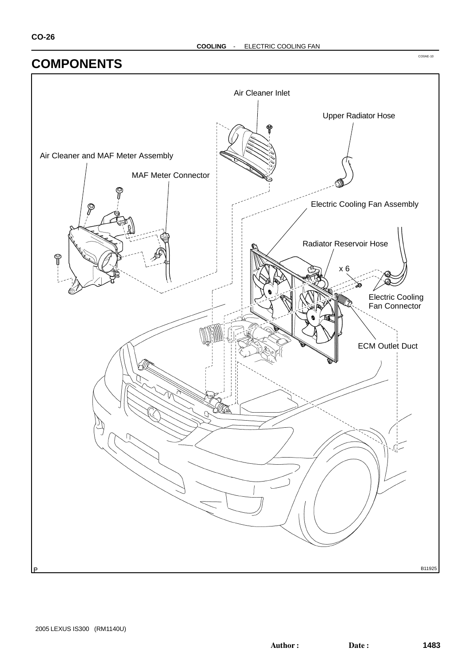## **COMPONENTS**

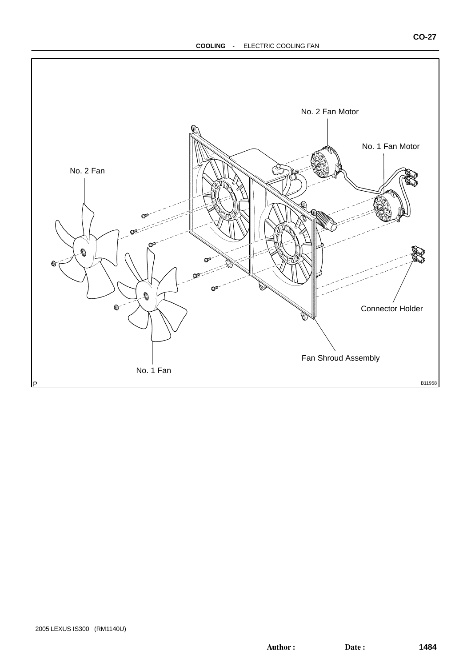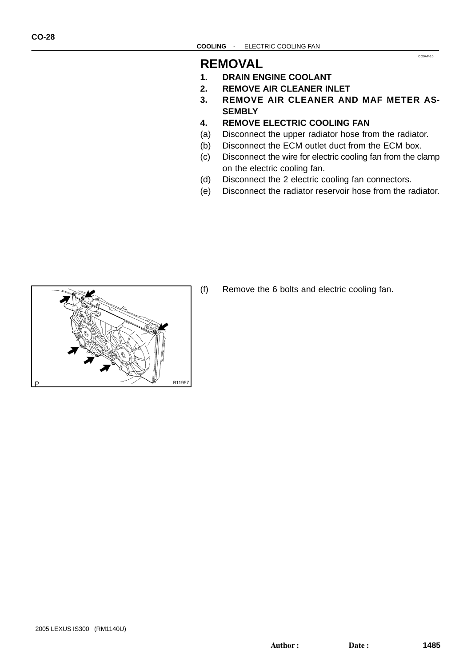## **REMOVAL**

- **1. DRAIN ENGINE COOLANT**
- **2. REMOVE AIR CLEANER INLET**
- **3. REMOVE AIR CLEANER AND MAF METER AS-SEMBLY**

CO0AF-10

- **4. REMOVE ELECTRIC COOLING FAN**
- (a) Disconnect the upper radiator hose from the radiator.
- (b) Disconnect the ECM outlet duct from the ECM box.
- (c) Disconnect the wire for electric cooling fan from the clamp on the electric cooling fan.
- (d) Disconnect the 2 electric cooling fan connectors.
- (e) Disconnect the radiator reservoir hose from the radiator.



(f) Remove the 6 bolts and electric cooling fan.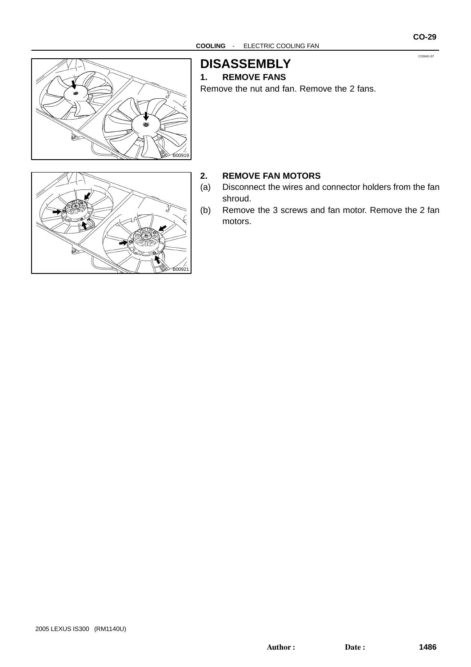CO0AG-07



**DISASSEMBLY**

#### **1. REMOVE FANS**

Remove the nut and fan. Remove the 2 fans.



#### **2. REMOVE FAN MOTORS**

- (a) Disconnect the wires and connector holders from the fan shroud.
- (b) Remove the 3 screws and fan motor. Remove the 2 fan motors.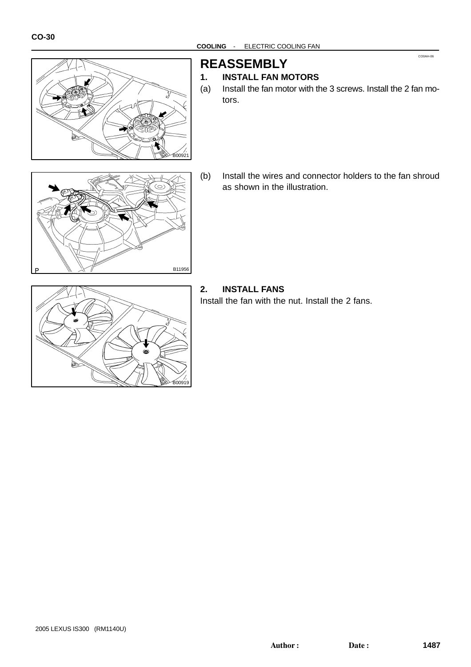

## **REASSEMBLY**

#### **1. INSTALL FAN MOTORS**

(a) Install the fan motor with the 3 screws. Install the 2 fan motors.

CO0AH-06

- B11956
- (b) Install the wires and connector holders to the fan shroud as shown in the illustration.



#### **2. INSTALL FANS**

Install the fan with the nut. Install the 2 fans.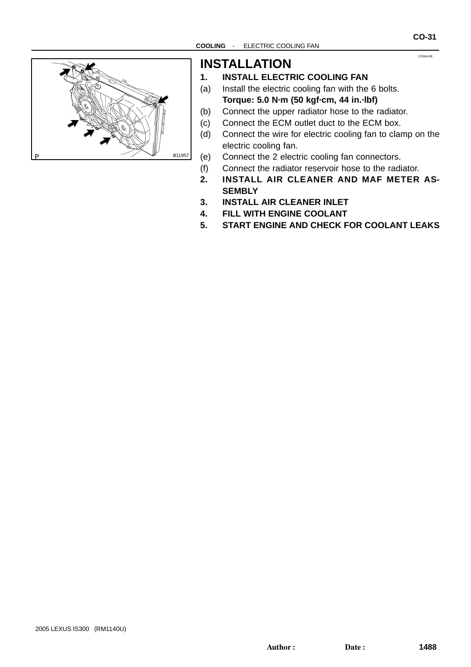CO0AI-08



## **INSTALLATION**

#### **1. INSTALL ELECTRIC COOLING FAN**

- (a) Install the electric cooling fan with the 6 bolts. **Torque: 5.0 N·m (50 kgf·cm, 44 in.·lbf)**
- (b) Connect the upper radiator hose to the radiator.
- (c) Connect the ECM outlet duct to the ECM box.
- (d) Connect the wire for electric cooling fan to clamp on the electric cooling fan.
- (e) Connect the 2 electric cooling fan connectors.
- (f) Connect the radiator reservoir hose to the radiator.
- **2. INSTALL AIR CLEANER AND MAF METER AS-SEMBLY**
- **3. INSTALL AIR CLEANER INLET**
- **4. FILL WITH ENGINE COOLANT**
- **5. START ENGINE AND CHECK FOR COOLANT LEAKS**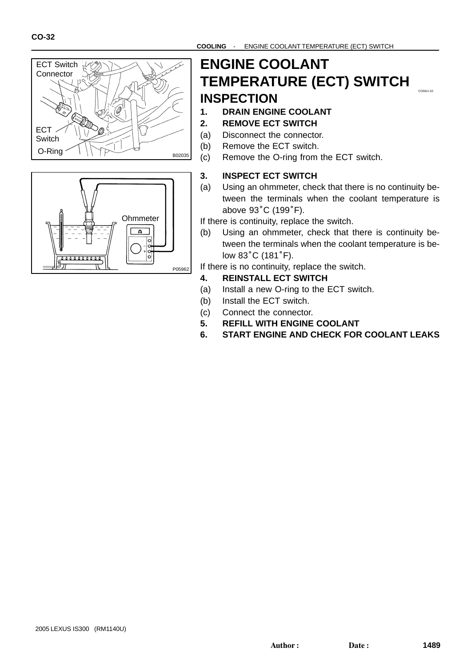



#### $C^{00A+10}$ **ENGINE COOLANT TEMPERATURE (ECT) SWITCH INSPECTION**

- **1. DRAIN ENGINE COOLANT 2. REMOVE ECT SWITCH**
- 
- (a) Disconnect the connector.
- (b) Remove the ECT switch.
- (c) Remove the O-ring from the ECT switch.

#### **3. INSPECT ECT SWITCH**

(a) Using an ohmmeter, check that there is no continuity between the terminals when the coolant temperature is Using an ohmmeter, ‹<br>tween the terminals<br>above 93°C (199°F).

If there is continuity, replace the switch.

(b) Using an ohmmeter, check that there is continuity between the terminals when the coolant temperature is be-Using an ohmmet<br>tween the terminal<br>low 83˚C (181˚F).

If there is no continuity, replace the switch.

- **4. REINSTALL ECT SWITCH**
- (a) Install a new O-ring to the ECT switch.
- (b) Install the ECT switch.
- (c) Connect the connector.
- **5. REFILL WITH ENGINE COOLANT**
- **6. START ENGINE AND CHECK FOR COOLANT LEAKS**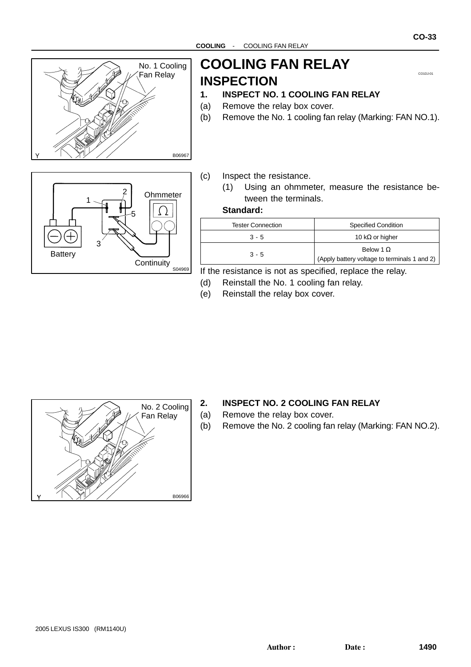

# **Fan Relay | INSPECTION COOLING FAN RELAY**

**CO-33**

#### **1. INSPECT NO. 1 COOLING FAN RELAY**

- (a) Remove the relay box cover.
- (b) Remove the No. 1 cooling fan relay (Marking: FAN NO.1).



#### (c) Inspect the resistance.

(1) Using an ohmmeter, measure the resistance between the terminals.

#### **Standard:**

| <b>Tester Connection</b> | <b>Specified Condition</b>                                       |
|--------------------------|------------------------------------------------------------------|
| $3 - 5$                  | 10 k $\Omega$ or higher                                          |
| $3 - 5$                  | Below 1 $\Omega$<br>(Apply battery voltage to terminals 1 and 2) |

If the resistance is not as specified, replace the relay.

- (d) Reinstall the No. 1 cooling fan relay.
- (e) Reinstall the relay box cover.



#### **2. INSPECT NO. 2 COOLING FAN RELAY**

(a) Remove the relay box cover.

(b) Remove the No. 2 cooling fan relay (Marking: FAN NO.2).